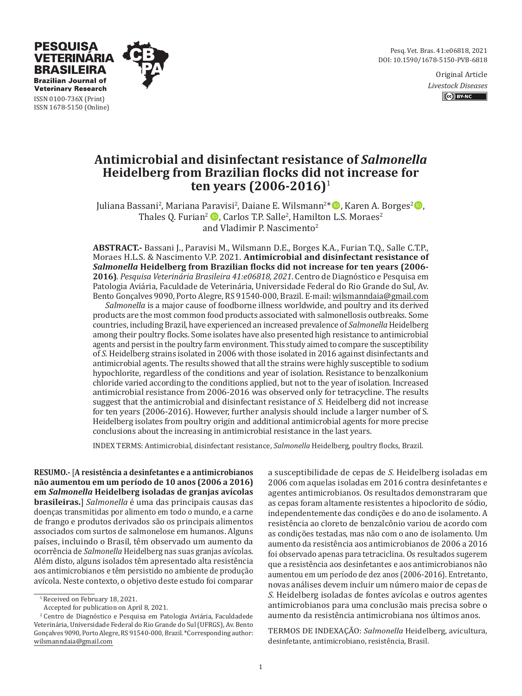Pesq. Vet. Bras. 41:e06818, 2021 DOI: 10.1590/1678-5150-PVB-6818

> Original Article *Livestock Diseases* CC BY-NC



ISSN 0100-736X (Print) ISSN 1678-5150 (Online)

**PESQUISA VETERINARIA BRASILEIRA Brazilian Journal of Veterinary Research** 

# **Antimicrobial and disinfectant resistance of** *Salmonella*  **Heidelberg from Brazilian flocks did not increase for ten years (2006-2016)**<sup>1</sup>

Juliana Bassani<sup>2</sup>, Mariana Paravisi<sup>2</sup>, Daiane E. Wilsmann<sup>2\*</sup> D, Karen A. Borges<sup>2</sup> D, Thales Q. Furian<sup>2</sup>  $\bullet$ , Carlos T.P. Salle<sup>2</sup>, Hamilton L.S. Moraes<sup>2</sup> and Vladimir P. Nascimento<sup>2</sup>

**ABSTRACT.-** Bassani J., Paravisi M., Wilsmann D.E., Borges K.A., Furian T.Q., Salle C.T.P., Moraes H.L.S. & Nascimento V.P. 2021. **Antimicrobial and disinfectant resistance of**  *Salmonella* **Heidelberg from Brazilian flocks did not increase for ten years (2006- 2016)**. *Pesquisa Veterinária Brasileira 41:e06818, 2021*. Centro de Diagnóstico e Pesquisa em Patologia Aviária, Faculdade de Veterinária, Universidade Federal do Rio Grande do Sul, Av. Bento Gonçalves 9090, Porto Alegre, RS 91540-000, Brazil. E-mail: wilsmanndaia@gmail.com

*Salmonella* is a major cause of foodborne illness worldwide, and poultry and its derived products are the most common food products associated with salmonellosis outbreaks. Some countries, including Brazil, have experienced an increased prevalence of *Salmonella* Heidelberg among their poultry flocks. Some isolates have also presented high resistance to antimicrobial agents and persist in the poultry farm environment. This study aimed to compare the susceptibility of *S.* Heidelberg strains isolated in 2006 with those isolated in 2016 against disinfectants and antimicrobial agents. The results showed that all the strains were highly susceptible to sodium hypochlorite, regardless of the conditions and year of isolation. Resistance to benzalkonium chloride varied according to the conditions applied, but not to the year of isolation. Increased antimicrobial resistance from 2006-2016 was observed only for tetracycline. The results suggest that the antimicrobial and disinfectant resistance of *S.* Heidelberg did not increase for ten years (2006-2016). However, further analysis should include a larger number of S. Heidelberg isolates from poultry origin and additional antimicrobial agents for more precise conclusions about the increasing in antimicrobial resistance in the last years.

INDEX TERMS: Antimicrobial, disinfectant resistance, *Salmonella* Heidelberg, poultry flocks, Brazil.

**RESUMO.-** [**A resistência a desinfetantes e a antimicrobianos não aumentou em um período de 10 anos (2006 a 2016) em** *Salmonella* **Heidelberg isoladas de granjas avícolas brasileiras.**] *Salmonella* é uma das principais causas das doenças transmitidas por alimento em todo o mundo, e a carne de frango e produtos derivados são os principais alimentos associados com surtos de salmonelose em humanos. Alguns países, incluindo o Brasil, têm observado um aumento da ocorrência de *Salmonella* Heidelberg nas suas granjas avícolas. Além disto, alguns isolados têm apresentado alta resistência aos antimicrobianos e têm persistido no ambiente de produção avícola. Neste contexto, o objetivo deste estudo foi comparar

Accepted for publication on April 8, 2021.

a susceptibilidade de cepas de *S.* Heidelberg isoladas em 2006 com aquelas isoladas em 2016 contra desinfetantes e agentes antimicrobianos. Os resultados demonstraram que as cepas foram altamente resistentes a hipoclorito de sódio, independentemente das condições e do ano de isolamento. A resistência ao cloreto de benzalcônio variou de acordo com as condições testadas, mas não com o ano de isolamento. Um aumento da resistência aos antimicrobianos de 2006 a 2016 foi observado apenas para tetraciclina. Os resultados sugerem que a resistência aos desinfetantes e aos antimicrobianos não aumentou em um período de dez anos (2006-2016). Entretanto, novas análises devem incluir um número maior de cepas de *S.* Heidelberg isoladas de fontes avícolas e outros agentes antimicrobianos para uma conclusão mais precisa sobre o aumento da resistência antimicrobiana nos últimos anos.

TERMOS DE INDEXAÇÃO: *Salmonella* Heidelberg, avicultura, desinfetante, antimicrobiano, resistência, Brasil.

<sup>1</sup> Received on February 18, 2021.

<sup>2</sup> Centro de Diagnóstico e Pesquisa em Patologia Aviária, Faculdadede Veterinária, Universidade Federal do Rio Grande do Sul (UFRGS), Av. Bento Gonçalves 9090, Porto Alegre, RS 91540-000, Brazil. \*Corresponding author: wilsmanndaia@gmail.com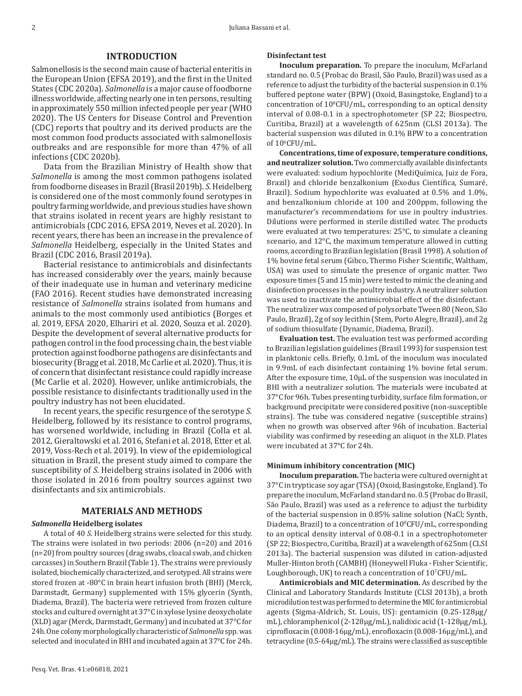## **INTRODUCTION**

Salmonellosis is the second main cause of bacterial enteritis in the European Union (EFSA 2019), and the first in the United States (CDC 2020a). *Salmonella* is a major cause of foodborne illness worldwide, affecting nearly one in ten persons, resulting in approximately 550 million infected people per year (WHO 2020). The US Centers for Disease Control and Prevention (CDC) reports that poultry and its derived products are the most common food products associated with salmonellosis outbreaks and are responsible for more than 47% of all infections (CDC 2020b).

Data from the Brazilian Ministry of Health show that *Salmonella* is among the most common pathogens isolated from foodborne diseases in Brazil (Brasil 2019b). *S.* Heidelberg is considered one of the most commonly found serotypes in poultry farming worldwide, and previous studies have shown that strains isolated in recent years are highly resistant to antimicrobials (CDC 2016, EFSA 2019, Neves et al. 2020). In recent years, there has been an increase in the prevalence of *Salmonella* Heidelberg, especially in the United States and Brazil (CDC 2016, Brasil 2019a).

Bacterial resistance to antimicrobials and disinfectants has increased considerably over the years, mainly because of their inadequate use in human and veterinary medicine (FAO 2016). Recent studies have demonstrated increasing resistance of *Salmonella* strains isolated from humans and animals to the most commonly used antibiotics (Borges et al. 2019, EFSA 2020, Elhariri et al. 2020, Souza et al. 2020). Despite the development of several alternative products for pathogen control in the food processing chain, the best viable protection against foodborne pathogens are disinfectants and biosecurity (Bragg et al. 2018, Mc Carlie et al. 2020). Thus, it is of concern that disinfectant resistance could rapidly increase (Mc Carlie et al. 2020). However, unlike antimicrobials, the possible resistance to disinfectants traditionally used in the poultry industry has not been elucidated.

In recent years, the specific resurgence of the serotype *S.* Heidelberg, followed by its resistance to control programs, has worsened worldwide, including in Brazil (Colla et al. 2012, Gieraltowski et al. 2016, Stefani et al. 2018, Etter et al. 2019, Voss-Rech et al. 2019). In view of the epidemiological situation in Brazil, the present study aimed to compare the susceptibility of *S.* Heidelberg strains isolated in 2006 with those isolated in 2016 from poultry sources against two disinfectants and six antimicrobials.

# **MATERIALS AND METHODS**

#### *Salmonella* **Heidelberg isolates**

A total of 40 *S.* Heidelberg strains were selected for this study. The strains were isolated in two periods: 2006 (n=20) and 2016 (n=20) from poultry sources (drag swabs, cloacal swab, and chicken carcasses) in Southern Brazil (Table 1). The strains were previously isolated, biochemically characterized, and serotyped. All strains were stored frozen at -80°C in brain heart infusion broth (BHI) (Merck, Darmstadt, Germany) supplemented with 15% glycerin (Synth, Diadema, Brazil). The bacteria were retrieved from frozen culture stocks and cultured overnight at 37°C in xylose lysine deoxycholate (XLD) agar (Merck, Darmstadt, Germany) and incubated at 37°C for 24h. One colony morphologically characteristic of *Salmonella* spp. was selected and inoculated in BHI and incubated again at 37°C for 24h.

#### **Disinfectant test**

**Inoculum preparation.** To prepare the inoculum, McFarland standard no. 0.5 (Probac do Brasil, São Paulo, Brazil) was used as a reference to adjust the turbidity of the bacterial suspension in 0.1% buffered peptone water (BPW) (Oxoid, Basingstoke, England) to a  $concentration of 10<sup>8</sup>CFU/mL$ , corresponding to an optical density interval of 0.08-0.1 in a spectrophotometer (SP 22; Biospectro, Curitiba, Brazil) at a wavelength of 625nm (CLSI 2013a). The bacterial suspension was diluted in 0.1% BPW to a concentration of 106 CFU/mL.

**Concentrations, time of exposure, temperature conditions, and neutralizer solution.** Two commercially available disinfectants were evaluated: sodium hypochlorite (MediQuímica, Juiz de Fora, Brazil) and chloride benzalkonium (Exodus Científica, Sumaré, Brazil). Sodium hypochlorite was evaluated at 0.5% and 1.0%, and benzalkonium chloride at 100 and 200ppm, following the manufacturer's recommendations for use in poultry industries. Dilutions were performed in sterile distilled water. The products were evaluated at two temperatures: 25°C, to simulate a cleaning scenario, and 12°C, the maximum temperature allowed in cutting rooms, according to Brazilian legislation (Brasil 1998). A solution of 1% bovine fetal serum (Gibco, Thermo Fisher Scientific, Waltham, USA) was used to simulate the presence of organic matter. Two exposure times (5 and 15 min) were tested to mimic the cleaning and disinfection processes in the poultry industry. A neutralizer solution was used to inactivate the antimicrobial effect of the disinfectant. The neutralizer was composed of polysorbate Tween 80 (Neon, São Paulo, Brazil), 2g of soy lecithin (Stem, Porto Alegre, Brazil), and 2g of sodium thiosulfate (Dynamic, Diadema, Brazil).

**Evaluation test.** The evaluation test was performed according to Brazilian legislation guidelines (Brasil 1993) for suspension test in planktonic cells. Briefly, 0.1mL of the inoculum was inoculated in 9.9mL of each disinfectant containing 1% bovine fetal serum. After the exposure time, 10µL of the suspension was inoculated in BHI with a neutralizer solution. The materials were incubated at 37°C for 96h. Tubes presenting turbidity, surface film formation, or background precipitate were considered positive (non-susceptible strains). The tube was considered negative (susceptible strains) when no growth was observed after 96h of incubation. Bacterial viability was confirmed by reseeding an aliquot in the XLD. Plates were incubated at 37°C for 24h.

#### **Minimum inhibitory concentration (MIC)**

**Inoculum preparation.** The bacteria were cultured overnight at 37°C in trypticase soy agar (TSA) (Oxoid, Basingstoke, England). To prepare the inoculum, McFarland standard no. 0.5 (Probac do Brasil, São Paulo, Brazil) was used as a reference to adjust the turbidity of the bacterial suspension in 0.85% saline solution (NaCl; Synth,  $Diadema$ , Brazil) to a concentration of  $10^{\circ}$ CFU/mL, corresponding to an optical density interval of 0.08-0.1 in a spectrophotometer (SP 22; Biospectro, Curitiba, Brazil) at a wavelength of 625nm (CLSI 2013a). The bacterial suspension was diluted in cation-adjusted Muller-Hinton broth (CAMBH) (Honeywell Fluka - Fisher Scientific, Loughborough, UK) to reach a concentration of 107 CFU/mL.

**Antimicrobials and MIC determination.** As described by the Clinical and Laboratory Standards Institute (CLSI 2013b), a broth microdilution test was performed to determine the MIC for antimicrobial agents (Sigma-Aldrich, St. Louis, US): gentamicin (0.25-128µg/ mL), chloramphenicol (2-128µg/mL), nalidixic acid (1-128µg/mL), ciprofloxacin (0.008-16µg/mL), enrofloxacin (0.008-16µg/mL), and tetracycline (0.5-64µg/mL). The strains were classified as susceptible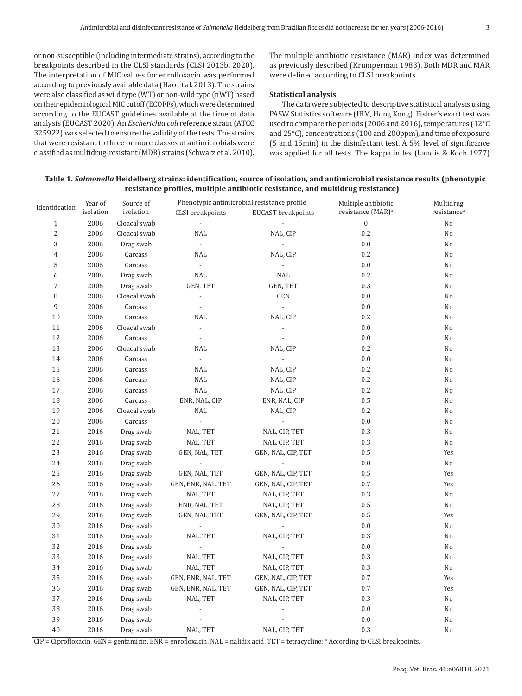or non-susceptible (including intermediate strains), according to the breakpoints described in the CLSI standards (CLSI 2013b, 2020). The interpretation of MIC values for enrofloxacin was performed according to previously available data (Hao et al. 2013). The strains were also classified as wild type (WT) or non-wild type (nWT) based on their epidemiological MIC cutoff (ECOFFs), which were determined according to the EUCAST guidelines available at the time of data analysis (EUCAST 2020). An *Escherichia coli* reference strain (ATCC 325922) was selected to ensure the validity of the tests. The strains that were resistant to three or more classes of antimicrobials were classified as multidrug-resistant (MDR) strains (Schwarz et al. 2010).

The multiple antibiotic resistance (MAR) index was determined as previously described (Krumperman 1983). Both MDR and MAR were defined according to CLSI breakpoints.

### **Statistical analysis**

The data were subjected to descriptive statistical analysis using PASW Statistics software (IBM, Hong Kong). Fisher's exact test was used to compare the periods (2006 and 2016), temperatures (12°C and 25°C), concentrations (100 and 200ppm), and time of exposure (5 and 15min) in the disinfectant test. A 5% level of significance was applied for all tests. The kappa index (Landis & Koch 1977)

| Table 1. Salmonella Heidelberg strains: identification, source of isolation, and antimicrobial resistance results (phenotypic |  |
|-------------------------------------------------------------------------------------------------------------------------------|--|
| resistance profiles, multiple antibiotic resistance, and multidrug resistance)                                                |  |

|                | Year of   | Source of                            |                          | Phenotypic antimicrobial resistance profile | Multiple antibiotic           | Multidrug               |
|----------------|-----------|--------------------------------------|--------------------------|---------------------------------------------|-------------------------------|-------------------------|
| Identification | isolation | isolation<br><b>CLSI</b> breakpoints |                          | <b>EUCAST</b> breakpoints                   | resistance (MAR) <sup>a</sup> | resistance <sup>a</sup> |
| $\mathbf{1}$   | 2006      | Cloacal swab                         |                          |                                             | $\boldsymbol{0}$              | No                      |
| $\sqrt{2}$     | 2006      | Cloacal swab                         | <b>NAL</b>               | NAL, CIP                                    | 0.2                           | No                      |
| 3              | 2006      | Drag swab                            | $\overline{\phantom{a}}$ | $\overline{\phantom{a}}$                    | 0.0                           | No                      |
| $\overline{4}$ | 2006      | Carcass                              | <b>NAL</b>               | NAL, CIP                                    | 0.2                           | No                      |
| 5              | 2006      | Carcass                              | $\overline{\phantom{a}}$ | $\overline{\phantom{a}}$                    | 0.0                           | No                      |
| 6              | 2006      | Drag swab                            | <b>NAL</b>               | <b>NAL</b>                                  | 0.2                           | No                      |
| $\sqrt{ }$     | 2006      | Drag swab                            | <b>GEN, TET</b>          | <b>GEN, TET</b>                             | 0.3                           | No                      |
| $\, 8$         | 2006      | Cloacal swab                         |                          | GEN                                         | 0.0                           | No                      |
| 9              | 2006      | Carcass                              |                          | $\overline{\phantom{a}}$                    | 0.0                           | No                      |
| 10             | 2006      | Carcass                              | <b>NAL</b>               | NAL, CIP                                    | 0.2                           | No                      |
| 11             | 2006      | Cloacal swab                         |                          |                                             | 0.0                           | No                      |
| 12             | 2006      | Carcass                              | $\overline{\phantom{a}}$ |                                             | 0.0                           | No                      |
| 13             | 2006      | Cloacal swab                         | <b>NAL</b>               | NAL, CIP                                    | 0.2                           | No                      |
| 14             | 2006      | Carcass                              | $\overline{\phantom{a}}$ |                                             | 0.0                           | No                      |
| 15             | 2006      | Carcass                              | <b>NAL</b>               | NAL, CIP                                    | 0.2                           | No                      |
| 16             | 2006      | Carcass                              | NAL                      | NAL, CIP                                    | 0.2                           | No                      |
| 17             | 2006      | Carcass                              | NAL                      | NAL, CIP                                    | 0.2                           | No                      |
| 18             | 2006      | Carcass                              | ENR, NAL, CIP            | ENR, NAL, CIP                               | 0.5                           | No                      |
| 19             | 2006      | Cloacal swab                         | NAL                      | NAL, CIP                                    | 0.2                           | No                      |
| 20             | 2006      | Carcass                              |                          |                                             | 0.0                           | No                      |
| 21             | 2016      | Drag swab                            | NAL, TET                 | NAL, CIP, TET                               | 0.3                           | No                      |
| 22             | 2016      | Drag swab                            | NAL, TET                 | NAL, CIP, TET                               | 0.3                           | No                      |
| 23             | 2016      | Drag swab                            | GEN, NAL, TET            | GEN, NAL, CIP, TET                          | 0.5                           | Yes                     |
| 24             | 2016      | Drag swab                            |                          |                                             | 0.0                           | No                      |
| 25             | 2016      | Drag swab                            | GEN, NAL, TET            | GEN, NAL, CIP, TET                          | 0.5                           | Yes                     |
| 26             | 2016      | Drag swab                            | GEN, ENR, NAL, TET       | GEN, NAL, CIP, TET                          | 0.7                           | Yes                     |
| 27             | 2016      | Drag swab                            | NAL, TET                 | NAL, CIP, TET                               | 0.3                           | No                      |
| 28             | 2016      | Drag swab                            | ENR, NAL, TET            | NAL, CIP, TET                               | 0.5                           | No                      |
| 29             | 2016      | Drag swab                            | GEN, NAL, TET            | GEN, NAL, CIP, TET                          | 0.5                           | Yes                     |
| 30             | 2016      | Drag swab                            | $\overline{a}$           | $\overline{\phantom{a}}$                    | 0.0                           | No                      |
| 31             | 2016      | Drag swab                            | NAL, TET                 | NAL, CIP, TET                               | 0.3                           | No                      |
| 32             | 2016      | Drag swab                            |                          |                                             | 0.0                           | No                      |
| 33             | 2016      | Drag swab                            | NAL, TET                 | NAL, CIP, TET                               | 0.3                           | No                      |
| 34             | 2016      | Drag swab                            | NAL, TET                 | NAL, CIP, TET                               | 0.3                           | No                      |
| 35             | 2016      | Drag swab                            | GEN, ENR, NAL, TET       | GEN, NAL, CIP, TET                          | 0.7                           | Yes                     |
| 36             | 2016      | Drag swab                            | GEN, ENR, NAL, TET       | GEN, NAL, CIP, TET                          | 0.7                           | Yes                     |
| 37             | 2016      | Drag swab                            | NAL, TET                 | NAL, CIP, TET                               | 0.3                           | No                      |
| 38             | 2016      | Drag swab                            |                          |                                             | 0.0                           | No                      |
| 39             | 2016      | Drag swab                            |                          |                                             | 0.0                           | No                      |
| 40             | 2016      | Drag swab                            | NAL, TET                 | NAL, CIP, TET                               | 0.3                           | No                      |

CIP = Ciprofloxacin, GEN = gentamicin, ENR = enrofloxacin, NAL = nalidix acid, TET = tetracycline; ª According to CLSI breakpoints.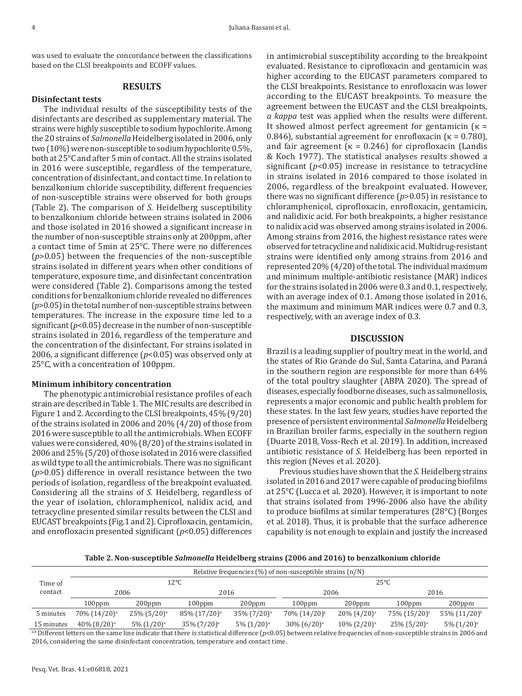was used to evaluate the concordance between the classifications based on the CLSI breakpoints and ECOFF values.

## **RESULTS**

#### **Disinfectant tests**

The individual results of the susceptibility tests of the disinfectants are described as supplementary material. The strains were highly susceptible to sodium hypochlorite. Among the 20 strains of *Salmonella* Heidelberg isolated in 2006, only two (10%) were non-susceptible to sodium hypochlorite 0.5%, both at 25°C and after 5 min of contact. All the strains isolated in 2016 were susceptible, regardless of the temperature, concentration of disinfectant, and contact time. In relation to benzalkonium chloride susceptibility, different frequencies of non-susceptible strains were observed for both groups (Table 2). The comparison of *S.* Heidelberg susceptibility to benzalkonium chloride between strains isolated in 2006 and those isolated in 2016 showed a significant increase in the number of non-susceptible strains only at 200ppm, after a contact time of 5min at 25°C. There were no differences (*p*>0.05) between the frequencies of the non-susceptible strains isolated in different years when other conditions of temperature, exposure time, and disinfectant concentration were considered (Table 2). Comparisons among the tested conditions for benzalkonium chloride revealed no differences (*p*>0.05) in the total number of non-susceptible strains between temperatures. The increase in the exposure time led to a significant (*p*<0.05) decrease in the number of non-susceptible strains isolated in 2016, regardless of the temperature and the concentration of the disinfectant. For strains isolated in 2006, a significant difference (*p*<0.05) was observed only at 25°C, with a concentration of 100ppm.

## **Minimum inhibitory concentration**

The phenotypic antimicrobial resistance profiles of each strain are described in Table 1. The MIC results are described in Figure 1 and 2. According to the CLSI breakpoints, 45% (9/20) of the strains isolated in 2006 and 20% (4/20) of those from 2016 were susceptible to all the antimicrobials. When ECOFF values were considered, 40% (8/20) of the strains isolated in 2006 and 25% (5/20) of those isolated in 2016 were classified as wild type to all the antimicrobials. There was no significant (*p*>0.05) difference in overall resistance between the two periods of isolation, regardless of the breakpoint evaluated. Considering all the strains of *S.* Heidelberg, regardless of the year of isolation, chloramphenicol, nalidix acid, and tetracycline presented similar results between the CLSI and EUCAST breakpoints (Fig.1 and 2). Ciprofloxacin, gentamicin, and enrofloxacin presented significant (*p*<0.05) differences

in antimicrobial susceptibility according to the breakpoint evaluated. Resistance to ciprofloxacin and gentamicin was higher according to the EUCAST parameters compared to the CLSI breakpoints. Resistance to enrofloxacin was lower according to the EUCAST breakpoints. To measure the agreement between the EUCAST and the CLSI breakpoints, *a kappa* test was applied when the results were different. It showed almost perfect agreement for gentamicin  $\kappa =$ 0.846), substantial agreement for enrofloxacin ( $\kappa = 0.780$ ), and fair agreement ( $\kappa$  = 0.246) for ciprofloxacin (Landis & Koch 1977). The statistical analyses results showed a significant (*p*<0.05) increase in resistance to tetracycline in strains isolated in 2016 compared to those isolated in 2006, regardless of the breakpoint evaluated. However, there was no significant difference (*p*>0.05) in resistance to chloramphenicol, ciprofloxacin, enrofloxacin, gentamicin, and nalidixic acid. For both breakpoints, a higher resistance to nalidix acid was observed among strains isolated in 2006. Among strains from 2016, the highest resistance rates were observed for tetracycline and nalidixic acid. Multidrug-resistant strains were identified only among strains from 2016 and represented 20% (4/20) of the total. The individual maximum and minimum multiple-antibiotic resistance (MAR) indices for the strains isolated in 2006 were 0.3 and 0.1, respectively, with an average index of 0.1. Among those isolated in 2016, the maximum and minimum MAR indices were 0.7 and 0.3, respectively, with an average index of 0.3.

## **DISCUSSION**

Brazil is a leading supplier of poultry meat in the world, and the states of Rio Grande do Sul, Santa Catarina, and Paraná in the southern region are responsible for more than 64% of the total poultry slaughter (ABPA 2020). The spread of diseases, especially foodborne diseases, such as salmonellosis, represents a major economic and public health problem for these states. In the last few years, studies have reported the presence of persistent environmental *Salmonella* Heidelberg in Brazilian broiler farms, especially in the southern region (Duarte 2018, Voss-Rech et al. 2019). In addition, increased antibiotic resistance of *S.* Heidelberg has been reported in this region (Neves et al. 2020).

Previous studies have shown that the *S.* Heidelberg strains isolated in 2016 and 2017 were capable of producing biofilms at 25°C (Lucca et al. 2020). However, it is important to note that strains isolated from 1996-2006 also have the ability to produce biofilms at similar temperatures (28°C) (Borges et al. 2018). Thus, it is probable that the surface adherence capability is not enough to explain and justify the increased

**Table 2. Non-susceptible** *Salmonella* **Heidelberg strains (2006 and 2016) to benzalkonium chloride**

| Time of<br>contact | Relative frequencies $(\%)$ of non-susceptible strains $(n/N)$                                                                                                       |                            |                          |                   |                            |                   |                            |                          |  |  |  |  |  |
|--------------------|----------------------------------------------------------------------------------------------------------------------------------------------------------------------|----------------------------|--------------------------|-------------------|----------------------------|-------------------|----------------------------|--------------------------|--|--|--|--|--|
|                    |                                                                                                                                                                      |                            | 12°C                     |                   | $25^{\circ}$ C             |                   |                            |                          |  |  |  |  |  |
|                    | 2006                                                                                                                                                                 |                            | 2016                     |                   | 2006                       |                   | 2016                       |                          |  |  |  |  |  |
|                    | $100$ ppm                                                                                                                                                            | $200$ ppm                  | $100$ ppm                | $200$ ppm         | $100$ ppm                  | $200$ ppm         | $100$ ppm                  | $200$ ppm                |  |  |  |  |  |
| 5 minutes          | $70\%$ $(14/20)^{a}$                                                                                                                                                 | $25\%$ (5/20) <sup>a</sup> | 85% (17/20) <sup>a</sup> | $35\%$ $(7/20)^a$ | 70% (14/20)ª               | $20\%$ $(4/20)^a$ | 75% (15/20) <sup>a</sup>   | 55% (11/20) <sup>b</sup> |  |  |  |  |  |
| 15 minutes         | $40\%$ $(8/20)^a$                                                                                                                                                    | $5\%$ $(1/20)^a$           | $35\%$ $(7/20)^a$        | $5\%$ $(1/20)^a$  | $30\%$ (6/20) <sup>a</sup> | $10\%$ $(2/20)^a$ | $25\%$ (5/20) <sup>a</sup> | $5\%$ $(1/20)^a$         |  |  |  |  |  |
|                    | ab Different letters on the same line indicate that there is statistical difference ( $p<0.05$ ) between relative frequencies of non-susceptible strains in 2006 and |                            |                          |                   |                            |                   |                            |                          |  |  |  |  |  |

2016, considering the same disinfectant concentration, temperature and contact time.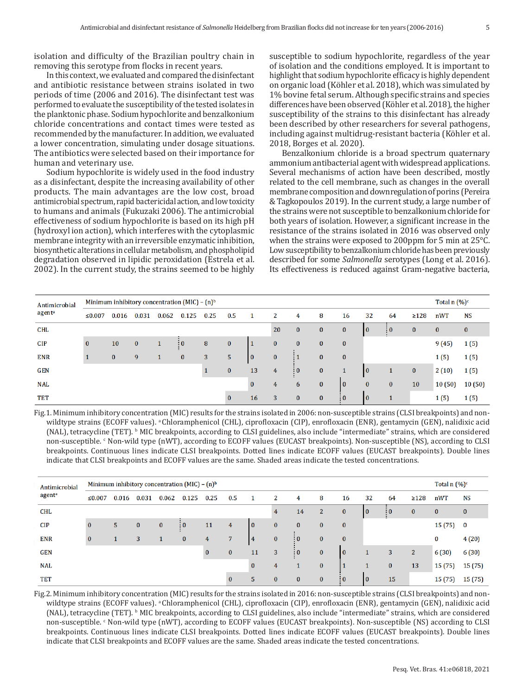isolation and difficulty of the Brazilian poultry chain in removing this serotype from flocks in recent years.

In this context, we evaluated and compared the disinfectant and antibiotic resistance between strains isolated in two periods of time (2006 and 2016). The disinfectant test was performed to evaluate the susceptibility of the tested isolates in the planktonic phase. Sodium hypochlorite and benzalkonium chloride concentrations and contact times were tested as recommended by the manufacturer. In addition, we evaluated a lower concentration, simulating under dosage situations. The antibiotics were selected based on their importance for human and veterinary use.

Sodium hypochlorite is widely used in the food industry as a disinfectant, despite the increasing availability of other products. The main advantages are the low cost, broad antimicrobial spectrum, rapid bactericidal action, and low toxicity to humans and animals (Fukuzaki 2006). The antimicrobial effectiveness of sodium hypochlorite is based on its high pH (hydroxyl ion action), which interferes with the cytoplasmic membrane integrity with an irreversible enzymatic inhibition, biosynthetic alterations in cellular metabolism, and phospholipid degradation observed in lipidic peroxidation (Estrela et al. 2002). In the current study, the strains seemed to be highly susceptible to sodium hypochlorite, regardless of the year of isolation and the conditions employed. It is important to highlight that sodium hypochlorite efficacy is highly dependent on organic load (Köhler et al. 2018), which was simulated by 1% bovine fetal serum. Although specific strains and species differences have been observed (Köhler et al. 2018), the higher susceptibility of the strains to this disinfectant has already been described by other researchers for several pathogens, including against multidrug-resistant bacteria (Köhler et al. 2018, Borges et al. 2020).

Benzalkonium chloride is a broad spectrum quaternary ammonium antibacterial agent with widespread applications. Several mechanisms of action have been described, mostly related to the cell membrane, such as changes in the overall membrane composition and downregulation of porins (Pereira & Tagkopoulos 2019). In the current study, a large number of the strains were not susceptible to benzalkonium chloride for both years of isolation. However, a significant increase in the resistance of the strains isolated in 2016 was observed only when the strains were exposed to 200ppm for 5 min at 25°C. Low susceptibility to benzalkonium chloride has been previously described for some *Salmonella* serotypes (Long et al. 2016). Its effectiveness is reduced against Gram-negative bacteria,

| Antimicrobial<br>agenta |          | Minimum inhibitory concentration $(MIC) - (n)^b$ |          |       |                 |      |             |              |          |                       |              |            |                 |                      |            |          | Total n $(\%)^c$ |  |
|-------------------------|----------|--------------------------------------------------|----------|-------|-----------------|------|-------------|--------------|----------|-----------------------|--------------|------------|-----------------|----------------------|------------|----------|------------------|--|
|                         | ≤0.007   | 0.016                                            | 0.031    | 0.062 | 0.125           | 0.25 | 0.5         |              | 2        | 4                     | 8            | 16         | 32              | 64                   | $\geq 128$ | nWT      | NS               |  |
| CHL                     |          |                                                  |          |       |                 |      |             |              | 20       | $\bf{0}$              | $\bf{0}$     | $\bf{0}$   | $\mathbf{10}$   | $\frac{1}{2}$ 0      | $\bf{0}$   | $\bf{0}$ | $\bf{0}$         |  |
| CIP                     | $\bf{0}$ | 10                                               | $\bf{0}$ |       | $\frac{1}{2}$ 0 | 8    | $\bf{0}$    |              | $\bf{0}$ | $\bf{0}$              | $\bf{0}$     | $\bf{0}$   |                 |                      |            | 9(45)    | 1(5)             |  |
| <b>ENR</b>              |          | $\mathbf{0}$                                     | 9        |       | $\mathbf{0}$    | 3    | $5^{\circ}$ | 10           | $\bf{0}$ | $\pm 1$               | $\mathbf{0}$ | $\bf{0}$   |                 |                      |            | 1(5)     | 1(5)             |  |
| <b>GEN</b>              |          |                                                  |          |       |                 |      | $\bf{0}$    | 13           | 4        | $\vdots$ <sup>0</sup> | $\bf{0}$     |            | $\overline{10}$ |                      | $\bf{0}$   | 2(10)    | 1(5)             |  |
| <b>NAL</b>              |          |                                                  |          |       |                 |      |             | $\mathbf{0}$ | 4        | 6                     | $\mathbf{0}$ | O          | $\mathbf{0}$    | $\bf{0}$             | 10         | 10(50)   | 10(50)           |  |
| <b>TET</b>              |          |                                                  |          |       |                 |      | $\Omega$    | 16           | 3        | $\bf{0}$              | $\mathbf{0}$ | $\vdots$ 0 | $\mathbf{10}$   | $\blacktriangleleft$ |            | 1(5)     | 1(5)             |  |

Fig.1. Minimum inhibitory concentration (MIC) results for the strains isolated in 2006: non-susceptible strains (CLSI breakpoints) and nonwildtype strains (ECOFF values). <sup>a</sup>Chloramphenicol (CHL), ciprofloxacin (CIP), enrofloxacin (ENR), gentamycin (GEN), nalidixic acid (NAL), tetracycline (TET). <sup>b</sup> MIC breakpoints, according to CLSI guidelines, also include "intermediate" strains, which are considered non-susceptible. <sup>c</sup> Non-wild type (nWT), according to ECOFF values (EUCAST breakpoints). Non-susceptible (NS), according to CLSI breakpoints. Continuous lines indicate CLSI breakpoints. Dotted lines indicate ECOFF values (EUCAST breakpoints). Double lines indicate that CLSI breakpoints and ECOFF values are the same. Shaded areas indicate the tested concentrations.

| Antimicrobial<br>agent <sup>a</sup> |              | Minimum inhibitory concentration $(MIC) - (n)^b$ |          |          |            |          |                |              |              |                       |                |            |               |                 |                |          | Total n $(\%)^c$ |  |
|-------------------------------------|--------------|--------------------------------------------------|----------|----------|------------|----------|----------------|--------------|--------------|-----------------------|----------------|------------|---------------|-----------------|----------------|----------|------------------|--|
|                                     | ≤0.007       | 0.016                                            | 0.031    | 0.062    | 0.125      | 0.25     | 0.5            |              | 2            | 4                     | 8              | 16         | 32            | 64              | $\geq$ 128     | nWT      | <b>NS</b>        |  |
| <b>CHL</b>                          |              |                                                  |          |          |            |          |                |              | 4            | 14                    | $\overline{2}$ | $\bf{0}$   | $\mathbf{10}$ | $\frac{1}{2}$ 0 | $\bf{0}$       | $\bf{0}$ | $\mathbf{0}$     |  |
| CIP                                 | $\mathbf{0}$ | 5                                                | $\bf{0}$ | $\bf{0}$ | $\vdots$ 0 | 11       | 4              | $\mathbf{0}$ | $\mathbf{0}$ | $\mathbf{0}$          | $\bf{0}$       | $\bf{0}$   |               |                 |                | 15 (75)  | $\mathbf{0}$     |  |
| <b>ENR</b>                          | $\bf{0}$     |                                                  | 3        |          | $\bf{0}$   | 4        | $\overline{7}$ | 4            | $\mathbf{0}$ | $\frac{1}{2}$         | $\bf{0}$       | $\bf{0}$   |               |                 |                | 0        | 4(20)            |  |
| GEN                                 |              |                                                  |          |          |            | $\bf{0}$ | $\bf{0}$       | 11           | 3            | $\vdots$ <sup>0</sup> | $\bf{0}$       | l O        |               | 3               | $\overline{2}$ | 6(30)    | 6 (30)           |  |
| <b>NAL</b>                          |              |                                                  |          |          |            |          |                | $\mathbf{0}$ | 4            |                       | $\bf{0}$       |            |               | $\bf{0}$        | 13             | 15 (75)  | 15 (75)          |  |
| <b>TET</b>                          |              |                                                  |          |          |            |          | $\bf{0}$       |              | $\bf{0}$     | $\bf{0}$              | $\bf{0}$       | $\vdots$ 0 | $\mathbf{I}$  | 15              |                | 15 (75)  | 15 (75)          |  |

Fig.2. Minimum inhibitory concentration (MIC) results for the strains isolated in 2016: non-susceptible strains (CLSI breakpoints) and nonwildtype strains (ECOFF values). <sup>a</sup>Chloramphenicol (CHL), ciprofloxacin (CIP), enrofloxacin (ENR), gentamycin (GEN), nalidixic acid (NAL), tetracycline (TET). <sup>b</sup> MIC breakpoints, according to CLSI guidelines, also include "intermediate" strains, which are considered non-susceptible. <sup>c</sup> Non-wild type (nWT), according to ECOFF values (EUCAST breakpoints). Non-susceptible (NS) according to CLSI breakpoints. Continuous lines indicate CLSI breakpoints. Dotted lines indicate ECOFF values (EUCAST breakpoints). Double lines indicate that CLSI breakpoints and ECOFF values are the same. Shaded areas indicate the tested concentrations.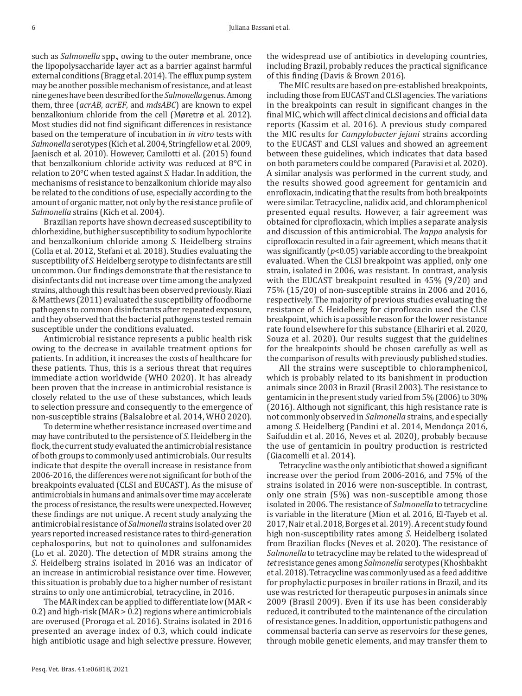such as *Salmonella* spp., owing to the outer membrane, once the lipopolysaccharide layer act as a barrier against harmful external conditions (Bragg et al. 2014). The efflux pump system may be another possible mechanism of resistance, and at least nine genes have been described for the *Salmonella* genus. Among them, three (*acrAB*, *acrEF*, and *mdsABC*) are known to expel benzalkonium chloride from the cell (Møretrø et al. 2012). Most studies did not find significant differences in resistance based on the temperature of incubation in *in vitro* tests with *Salmonella* serotypes (Kich et al. 2004, Stringfellow et al. 2009, Jaenisch et al. 2010). However, Camilotti et al. (2015) found that benzalkonium chloride activity was reduced at 8°C in relation to 20°C when tested against *S.* Hadar. In addition, the mechanisms of resistance to benzalkonium chloride may also be related to the conditions of use, especially according to the amount of organic matter, not only by the resistance profile of *Salmonella* strains (Kich et al. 2004).

Brazilian reports have shown decreased susceptibility to chlorhexidine, but higher susceptibility to sodium hypochlorite and benzalkonium chloride among *S.* Heidelberg strains (Colla et al. 2012, Stefani et al. 2018). Studies evaluating the susceptibility of *S.* Heidelberg serotype to disinfectants are still uncommon. Our findings demonstrate that the resistance to disinfectants did not increase over time among the analyzed strains, although this result has been observed previously. Riazi & Matthews (2011) evaluated the susceptibility of foodborne pathogens to common disinfectants after repeated exposure, and they observed that the bacterial pathogens tested remain susceptible under the conditions evaluated.

Antimicrobial resistance represents a public health risk owing to the decrease in available treatment options for patients. In addition, it increases the costs of healthcare for these patients. Thus, this is a serious threat that requires immediate action worldwide (WHO 2020). It has already been proven that the increase in antimicrobial resistance is closely related to the use of these substances, which leads to selection pressure and consequently to the emergence of non-susceptible strains (Balsalobre et al. 2014, WHO 2020).

To determine whether resistance increased over time and may have contributed to the persistence of *S.* Heidelberg in the flock, the current study evaluated the antimicrobial resistance of both groups to commonly used antimicrobials. Our results indicate that despite the overall increase in resistance from 2006-2016, the differences were not significant for both of the breakpoints evaluated (CLSI and EUCAST). As the misuse of antimicrobials in humans and animals over time may accelerate the process of resistance, the results were unexpected. However, these findings are not unique. A recent study analyzing the antimicrobial resistance of *Salmonella* strains isolated over 20 years reported increased resistance rates to third-generation cephalosporins, but not to quinolones and sulfonamides (Lo et al. 2020). The detection of MDR strains among the *S.* Heidelberg strains isolated in 2016 was an indicator of an increase in antimicrobial resistance over time. However, this situation is probably due to a higher number of resistant strains to only one antimicrobial, tetracycline, in 2016.

The MAR index can be applied to differentiate low (MAR < 0.2) and high-risk (MAR > 0.2) regions where antimicrobials are overused (Proroga et al. 2016). Strains isolated in 2016 presented an average index of 0.3, which could indicate high antibiotic usage and high selective pressure. However,

Pesq. Vet. Bras. 41:e06818, 2021

the widespread use of antibiotics in developing countries, including Brazil, probably reduces the practical significance of this finding (Davis & Brown 2016).

The MIC results are based on pre-established breakpoints, including those from EUCAST and CLSI agencies. The variations in the breakpoints can result in significant changes in the final MIC, which will affect clinical decisions and official data reports (Kassim et al. 2016). A previous study compared the MIC results for *Campylobacter jejuni* strains according to the EUCAST and CLSI values and showed an agreement between these guidelines, which indicates that data based on both parameters could be compared (Paravisi et al. 2020). A similar analysis was performed in the current study, and the results showed good agreement for gentamicin and enrofloxacin, indicating that the results from both breakpoints were similar. Tetracycline, nalidix acid, and chloramphenicol presented equal results. However, a fair agreement was obtained for ciprofloxacin, which implies a separate analysis and discussion of this antimicrobial. The *kappa* analysis for ciprofloxacin resulted in a fair agreement, which means that it was significantly (*p*<0.05) variable according to the breakpoint evaluated. When the CLSI breakpoint was applied, only one strain, isolated in 2006, was resistant. In contrast, analysis with the EUCAST breakpoint resulted in 45% (9/20) and 75% (15/20) of non-susceptible strains in 2006 and 2016, respectively. The majority of previous studies evaluating the resistance of *S.* Heidelberg for ciprofloxacin used the CLSI breakpoint, which is a possible reason for the lower resistance rate found elsewhere for this substance (Elhariri et al. 2020, Souza et al. 2020). Our results suggest that the guidelines for the breakpoints should be chosen carefully as well as the comparison of results with previously published studies.

All the strains were susceptible to chloramphenicol, which is probably related to its banishment in production animals since 2003 in Brazil (Brasil 2003). The resistance to gentamicin in the present study varied from 5% (2006) to 30% (2016). Although not significant, this high resistance rate is not commonly observed in *Salmonella* strains, and especially among *S.* Heidelberg (Pandini et al. 2014, Mendonça 2016, Saifuddin et al. 2016, Neves et al. 2020), probably because the use of gentamicin in poultry production is restricted (Giacomelli et al. 2014).

Tetracycline was the only antibiotic that showed a significant increase over the period from 2006-2016, and 75% of the strains isolated in 2016 were non-susceptible. In contrast, only one strain (5%) was non-susceptible among those isolated in 2006. The resistance of *Salmonella* to tetracycline is variable in the literature (Mion et al. 2016, El-Tayeb et al. 2017, Nair et al. 2018, Borges et al. 2019). A recent study found high non-susceptibility rates among *S.* Heidelberg isolated from Brazilian flocks (Neves et al. 2020). The resistance of *Salmonella* to tetracycline may be related to the widespread of *tet* resistance genes among *Salmonella* serotypes (Khoshbakht et al. 2018). Tetracycline was commonly used as a feed additive for prophylactic purposes in broiler rations in Brazil, and its use was restricted for therapeutic purposes in animals since 2009 (Brasil 2009). Even if its use has been considerably reduced, it contributed to the maintenance of the circulation of resistance genes. In addition, opportunistic pathogens and commensal bacteria can serve as reservoirs for these genes, through mobile genetic elements, and may transfer them to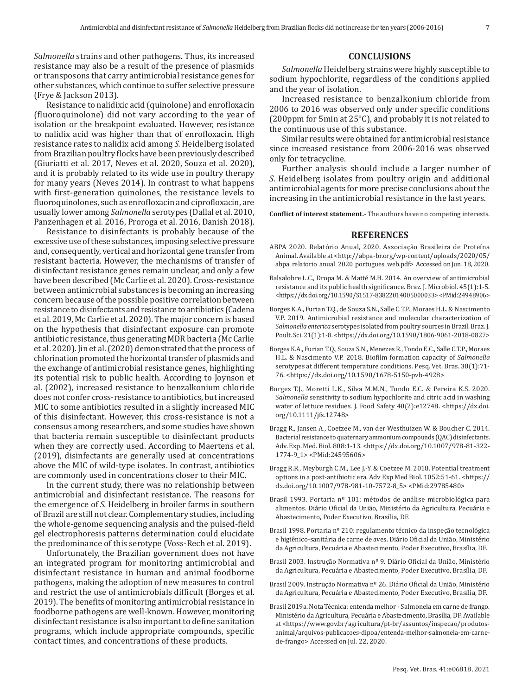*Salmonella* strains and other pathogens. Thus, its increased resistance may also be a result of the presence of plasmids or transposons that carry antimicrobial resistance genes for other substances, which continue to suffer selective pressure (Frye & Jackson 2013).

Resistance to nalidixic acid (quinolone) and enrofloxacin (fluoroquinolone) did not vary according to the year of isolation or the breakpoint evaluated. However, resistance to nalidix acid was higher than that of enrofloxacin. High resistance rates to nalidix acid among *S.* Heidelberg isolated from Brazilian poultry flocks have been previously described (Giuriatti et al. 2017, Neves et al. 2020, Souza et al. 2020), and it is probably related to its wide use in poultry therapy for many years (Neves 2014). In contrast to what happens with first-generation quinolones, the resistance levels to fluoroquinolones, such as enrofloxacin and ciprofloxacin, are usually lower among *Salmonella* serotypes (Dallal et al. 2010, Panzenhagen et al. 2016, Proroga et al. 2016, Danish 2018).

Resistance to disinfectants is probably because of the excessive use of these substances, imposing selective pressure and, consequently, vertical and horizontal gene transfer from resistant bacteria. However, the mechanisms of transfer of disinfectant resistance genes remain unclear, and only a few have been described (Mc Carlie et al. 2020). Cross-resistance between antimicrobial substances is becoming an increasing concern because of the possible positive correlation between resistance to disinfectants and resistance to antibiotics (Cadena et al. 2019, Mc Carlie et al. 2020). The major concern is based on the hypothesis that disinfectant exposure can promote antibiotic resistance, thus generating MDR bacteria (Mc Carlie et al. 2020). Jin et al. (2020) demonstrated that the process of chlorination promoted the horizontal transfer of plasmids and the exchange of antimicrobial resistance genes, highlighting its potential risk to public health. According to Joynson et al. (2002), increased resistance to benzalkonium chloride does not confer cross-resistance to antibiotics, but increased MIC to some antibiotics resulted in a slightly increased MIC of this disinfectant. However, this cross-resistance is not a consensus among researchers, and some studies have shown that bacteria remain susceptible to disinfectant products when they are correctly used. According to Maertens et al. (2019), disinfectants are generally used at concentrations above the MIC of wild-type isolates. In contrast, antibiotics are commonly used in concentrations closer to their MIC.

In the current study, there was no relationship between antimicrobial and disinfectant resistance. The reasons for the emergence of *S.* Heidelberg in broiler farms in southern of Brazil are still not clear. Complementary studies, including the whole-genome sequencing analysis and the pulsed-field gel electrophoresis patterns determination could elucidate the predominance of this serotype (Voss-Rech et al. 2019).

Unfortunately, the Brazilian government does not have an integrated program for monitoring antimicrobial and disinfectant resistance in human and animal foodborne pathogens, making the adoption of new measures to control and restrict the use of antimicrobials difficult (Borges et al. 2019). The benefits of monitoring antimicrobial resistance in foodborne pathogens are well-known. However, monitoring disinfectant resistance is also important to define sanitation programs, which include appropriate compounds, specific contact times, and concentrations of these products.

# **CONCLUSIONS**

*Salmonella* Heidelberg strains were highly susceptible to sodium hypochlorite, regardless of the conditions applied and the year of isolation.

Increased resistance to benzalkonium chloride from 2006 to 2016 was observed only under specific conditions (200ppm for 5min at 25°C), and probably it is not related to the continuous use of this substance.

Similar results were obtained for antimicrobial resistance since increased resistance from 2006-2016 was observed only for tetracycline.

Further analysis should include a larger number of *S.* Heidelberg isolates from poultry origin and additional antimicrobial agents for more precise conclusions about the increasing in the antimicrobial resistance in the last years.

**Conflict of interest statement.**- The authors have no competing interests.

## **REFERENCES**

- ABPA 2020. Relatório Anual, 2020. Associação Brasileira de Proteína Animal. Available at <http://abpa-br.org/wp-content/uploads/2020/05/ abpa\_relatorio\_anual\_2020\_portugues\_web.pdf> Accessed on Jun. 18, 2020.
- Balsalobre L.C., Dropa M. & Matté M.H. 2014. An overview of antimicrobial resistance and its public health significance. Braz. J. Microbiol. 45(1):1-5. <https://dx.doi.org/10.1590/S1517-83822014005000033> <PMid[:24948906](https://pubmed.ncbi.nlm.nih.gov/24948906)>
- Borges K.A., Furian T.Q., de Souza S.N., Salle C.T.P., Moraes H.L. & Nascimento V.P. 2019. Antimicrobial resistance and molecular characterization of *Salmonella enterica* serotypes isolated from poultry sources in Brazil. Braz. J. Poult. Sci. 21(1):1-8. <https://dx.doi.org/10.1590/1806-9061-2018-0827>
- Borges K.A., Furian T.Q., Souza S.N., Menezes R., Tondo E.C., Salle C.T.P., Moraes H.L. & Nascimento V.P. 2018. Biofilm formation capacity of *Salmonella* serotypes at different temperature conditions. Pesq. Vet. Bras. 38(1):71- 76. <https://dx.doi.org/10.1590/1678-5150-pvb-4928>
- Borges T.J., Moretti L.K., Silva M.M.N., Tondo E.C. & Pereira K.S. 2020. *Salmonella* sensitivity to sodium hypochlorite and citric acid in washing water of lettuce residues. J. Food Safety 40(2):e12748. <https://dx.doi. org/10.1111/jfs.12748>
- Bragg R., Jansen A., Coetzee M., van der Westhuizen W. & Boucher C. 2014. Bacterial resistance to quaternary ammonium compounds (QAC) disinfectants. Adv. Exp. Med. Biol. 808:1-13. <https://dx.doi.org/10.1007/978-81-322- 1774-9\_1> <PMid[:24595606>](https://pubmed.ncbi.nlm.nih.gov/24595606)
- Bragg R.R., Meyburgh C.M., Lee J.-Y. & Coetzee M. 2018. Potential treatment options in a post-antibiotic era. Adv Exp Med Biol. 1052:51-61. <https:// dx.doi.org/10.1007/978-981-10-7572-8\_5> <PMid:[29785480](https://pubmed.ncbi.nlm.nih.gov/29785480)>
- Brasil 1993. Portaria nº 101: métodos de análise microbiológica para alimentos. Diário Oficial da União, Ministério da Agricultura, Pecuária e Abastecimento, Poder Executivo, Brasília, DF.
- Brasil 1998. Portaria nº 210: regulamento técnico da inspeção tecnológica e higiênico-sanitária de carne de aves. Diário Oficial da União, Ministério da Agricultura, Pecuária e Abastecimento, Poder Executivo, Brasília, DF.
- Brasil 2003. Instrução Normativa nº 9. Diário Oficial da União, Ministério da Agricultura, Pecuária e Abastecimento, Poder Executivo, Brasília, DF.
- Brasil 2009. Instrução Normativa nº 26. Diário Oficial da União, Ministério da Agricultura, Pecuária e Abastecimento, Poder Executivo, Brasília, DF.
- Brasil 2019a. Nota Técnica: entenda melhor Salmonela em carne de frango. Ministério da Agricultura, Pecuária e Abastecimento, Brasília, DF. Available at <https://www.gov.br/agricultura/pt-br/assuntos/inspecao/produtosanimal/arquivos-publicacoes-dipoa/entenda-melhor-salmonela-em-carnede-frango> Accessed on Jul. 22, 2020.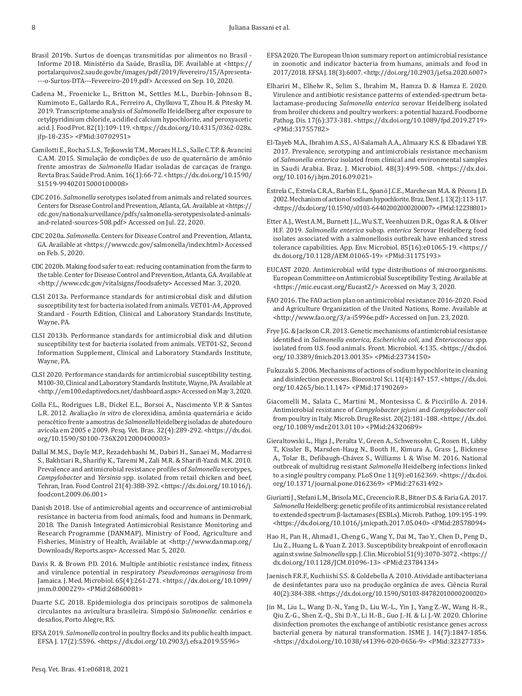- Brasil 2019b. Surtos de doenças transmitidas por alimentos no Brasil Informe 2018. Ministério da Saúde, Brasília, DF. Available at <https:// portalarquivos2.saude.gov.br/images/pdf/2019/fevereiro/15/Apresenta- ---o-Surtos-DTA---Fevereiro-2019.pdf> Accessed on Sep. 10, 2020.
- Cadena M., Froenicke L., Britton M., Settles M.L., Durbin-Johnson B., Kumimoto E., Gallardo R.A., Ferreiro A., Chylkova T., Zhou H. & Pitesky M. 2019. Transcriptome analysis of *Salmonella* Heidelberg after exposure to cetylpyridinium chloride, acidified calcium hypochlorite, and peroxyacetic acid. J. Food Prot. 82(1):109-119. <https://dx.doi.org/10.4315/0362-028x. jfp-18-235> <PMid[:30702951](https://pubmed.ncbi.nlm.nih.gov/30702951)>
- Camilotti E., Rocha S.L.S., Tejkowski T.M., Moraes H.L.S., Salle C.T.P. & Avancini C.A.M. 2015. Simulação de condições de uso de quaternário de amônio frente amostras de *Salmonella* Hadar isoladas de carcaças de frango. Revta Bras. Saúde Prod. Anim. 16(1):66-72. <https://dx.doi.org/10.1590/ S1519-99402015000100008>
- CDC 2016. *Salmonella* serotypes isolated from animals and related sources. Centers for Disease Control and Prevention, Atlanta, GA. Available at <https:// cdc.gov/nationalsurveillance/pdfs/salmonella-serotypesisolated-animalsand-related-sources-508.pdf> Accessed on Jul. 22, 2020.
- CDC 2020a. *Salmonella*. Centers for Disease Control and Prevention, Atlanta, GA. Available at <https://www.cdc.gov/salmonella/index.html> Accessed on Feb. 5, 2020.
- CDC 2020b. Making food safer to eat: reducing contamination from the farm to the table. Center for Disease Control and Prevention, Atlanta, GA. Available at <http://www.cdc.gov/vitalsigns/foodsafety> Accessed Mar. 3, 2020.
- CLSI 2013a. Performance standards for antimicrobial disk and dilution susceptibility test for bacteria isolated from animals. VET01-A4, Approved Standard - Fourth Edition, Clinical and Laboratory Standards Institute, Wayne, PA.
- CLSI 2013b. Performance standards for antimicrobial disk and dilution susceptibility test for bacteria isolated from animals. VET01-S2, Second Information Supplement, Clinical and Laboratory Standards Institute, Wayne, PA.
- CLSI 2020. Performance standards for antimicrobial susceptibility testing. M100-30, Clinical and Laboratory Standards Institute, Wayne, PA. Available at <http://em100.edaptivedocs.net/dashboard.aspx> Accessed on May 3, 2020.
- Colla F.L., Rodrigues L.B., Dickel E.L., Borsoi A., Nascimento V.P. & Santos L.R. 2012. Avaliação *in vitro* de clorexidina, amônia quaternária e ácido peracético frente a amostras de *Salmonella* Heidelberg isoladas de abatedouro avícola em 2005 e 2009. Pesq. Vet. Bras. 32(4):289-292. <https://dx.doi. org/10.1590/S0100-736X2012000400003>
- Dallal M.M.S., Doyle M.P., Rezadehbashi M., Dabiri H., Sanaei M., Modarresi S., Bakhtiari R., Sharifiy K., Taremi M., Zali M.R. & Sharifi-Yazdi M.K. 2010. Prevalence and antimicrobial resistance profiles of *Salmonella* serotypes, *Campylobacter* and *Yersinia* spp. isolated from retail chicken and beef, Tehran, Iran. Food Control 21(4):388-392. <https://dx.doi.org/10.1016/j. foodcont.2009.06.001>
- Danish 2018. Use of antimicrobial agents and occurrence of antimicrobial resistance in bacteria from food animals, food and humans in Denmark, 2018. The Danish Integrated Antimicrobial Resistance Monitoring and Research Programme (DANMAP), Ministry of Food, Agriculture and Fisheries, Ministry of Health, Available at <http://www.danmap.org/ Downloads/Reports.aspx> Accessed Mar. 5, 2020.
- Davis R. & Brown P.D. 2016. Multiple antibiotic resistance index, fitness and virulence potential in respiratory *Pseudomonas aeruginosa* from Jamaica. J. Med. Microbiol. 65(4):261-271. <https://dx.doi.org/10.1099/ jmm.0.000229> <PMid[:26860081>](https://pubmed.ncbi.nlm.nih.gov/26860081)
- Duarte S.C. 2018. Epidemiologia dos principais sorotipos de salmonela circulantes na avicultura brasileira. Simpósio *Salmonella*: cenários e desafios, Porto Alegre, RS.
- EFSA 2019. *Salmonella* control in poultry flocks and its public health impact. EFSA J. 17(2):5596. <https://dx.doi.org/10.2903/j.efsa.2019.5596>
- EFSA 2020. The European Union summary report on antimicrobial resistance in zoonotic and indicator bacteria from humans, animals and food in 2017/2018. EFSA J. 18(3):6007. <http://doi.org/10.2903/j.efsa.2020.6007>
- Elhariri M., Elhelw R., Selim S., Ibrahim M., Hamza D. & Hamza E. 2020. Virulence and antibiotic resistance patterns of extended-spectrum betalactamase-producing *Salmonella enterica* serovar Heidelberg isolated from broiler chickens and poultry workers: a potential hazard. Foodborne Pathog. Dis. 17(6):373-381. <https://dx.doi.org/10.1089/fpd.2019.2719> <PMid[:31755782>](https://pubmed.ncbi.nlm.nih.gov/31755782)
- El-Tayeb M.A., Ibrahim A.S.S., Al-Salamah A.A., Almaary K.S. & Elbadawi Y.B. 2017. Prevalence, serotyping and antimicrobials resistance mechanism of *Salmonella enterica* isolated from clinical and environmental samples in Saudi Arabia. Braz. J. Microbiol. 48(3):499-508. <https://dx.doi. org/10.1016/j.bjm.2016.09.021>
- Estrela C., Estrela C.R.A., Barbin E.L., Spanó J.C.E., Marchesan M.A. & Pécora J.D. 2002. Mechanism of action of sodium hypochlorite. Braz. Dent. J. 13(2):113-117. <https://dx.doi.org/10.1590/s0103-64402002000200007> <PMid[:12238801](https://pubmed.ncbi.nlm.nih.gov/12238801)>
- Etter A.J., West A.M., Burnett J.L., Wu S.T., Veenhuizen D.R., Ogas R.A. & Oliver H.F. 2019. *Salmonella enterica* subsp. *enterica* Serovar Heidelberg food isolates associated with a salmonellosis outbreak have enhanced stress tolerance capabilities. App. Env. Microbiol. 85(16):e01065-19. <https:// dx.doi.org/10.1128/AEM.01065-19> <PMid:[31175193](https://pubmed.ncbi.nlm.nih.gov/31175193)>
- EUCAST 2020. Antimicrobial wild type distributions of microorganisms. European Committee on Antimicrobial Susceptibility Testing. Available at <https://mic.eucast.org/Eucast2/> Accessed on May 3, 2020.
- FAO 2016. The FAO action plan on antimicrobial resistance 2016-2020. Food and Agriculture Organization of the United Nations, Rome. Available at <http://www.fao.org/3/a-i5996e.pdf> Accessed on Jun. 23, 2020.
- Frye J.G. & Jackson C.R. 2013. Genetic mechanisms of antimicrobial resistance identified in *Salmonella enterica*, *Escherichia coli*, and *Enteroccocus* spp. isolated from U.S. food animals. Front. Microbiol. 4:135. <https://dx.doi. org/10.3389/fmicb.2013.00135> <PMid[:23734150>](https://pubmed.ncbi.nlm.nih.gov/23734150)
- Fukuzaki S. 2006. Mechanisms of actions of sodium hypochlorite in cleaning and disinfection processes. Biocontrol Sci. 11(4):147-157. <https://dx.doi. org/10.4265/bio.11.147> <PMid:17190269>
- Giacomelli M., Salata C., Martini M., Montesissa C. & Piccirillo A. 2014. Antimicrobial resistance of *Campylobacter jejuni* and *Campylobacter coli* from poultry in Italy. Microb. Drug Resist. 20(2):181-188. <https://dx.doi. org/10.1089/mdr.2013.0110> <PMid[:24320689>](https://pubmed.ncbi.nlm.nih.gov/24320689)
- Gieraltowski L., Higa J., Peralta V., Green A., Schwensohn C., Rosen H., Libby T., Kissler B., Marsden-Haug N., Booth H., Kimura A., Grass J., Bicknese A., Tolar B., Defibaugh-Chávez S., Williams I. & Wise M. 2016. National outbreak of multidrug resistant *Salmonella* Heidelberg infections linked to a single poultry company. PLoS One 11(9):e0162369. <https://dx.doi. org/10.1371/journal.pone.0162369> <PMid:[27631492](https://pubmed.ncbi.nlm.nih.gov/27631492)>
- Giuriatti J., Stefani L.M., Brisola M.C., Crecencio R.B., Bitner D.S. & Faria G.A. 2017. *Salmonella* Heidelberg: genetic profile of its antimicrobial resistance related to extended spectrum β-lactamases (ESBLs). Microb. Pathog. 109:195-199. <https://dx.doi.org/10.1016/j.micpath.2017.05.040> <PMid[:28578094](https://pubmed.ncbi.nlm.nih.gov/28578094)>
- Hao H., Pan H., Ahmad I., Cheng G., Wang Y., Dai M., Tao Y., Chen D., Peng D., Liu Z., Huang L. & Yuan Z. 2013. Susceptibility breakpoint of enrofloxacin against swine *Salmonella* spp. J. Clin. Microbiol 51(9):3070-3072. <https:// dx.doi.org/10.1128/JCM.01096-13> <PMid[:23784134](https://pubmed.ncbi.nlm.nih.gov/23784134)>
- Jaenisch F.R.F., Kuchiishi S.S. & Coldebella A. 2010. Atividade antibacteriana de desinfetantes para uso na produção orgânica de aves. Ciência Rural 40(2):384-388. <https://dx.doi.org/10.1590/S0103-84782010000200020>
- Jin M., Liu L., Wang D.-N., Yang D., Liu W.-L., Yin J., Yang Z.-W., Wang H.-R., Qiu Z.-G., Shen Z.-Q., Shi D.-Y., Li H.-B., Guo J.-H. & Li J.-W. 2020. Chlorine disinfection promotes the exchange of antibiotic resistance genes across bacterial genera by natural transformation. ISME J. 14(7):1847-1856. <https://dx.doi.org/10.1038/s41396-020-0656-9> <PMid[:32327733>](https://pubmed.ncbi.nlm.nih.gov/32327733)